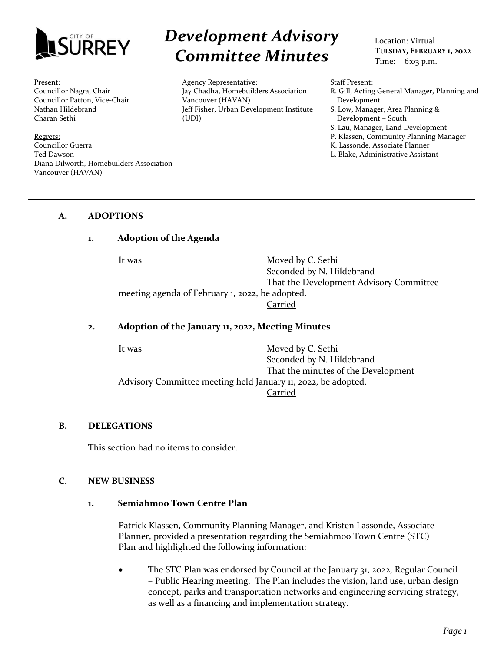

Present: Councillor Nagra, Chair Councillor Patton, Vice-Chair Nathan Hildebrand Charan Sethi

Regrets: Councillor Guerra Ted Dawson Diana Dilworth, Homebuilders Association Vancouver (HAVAN)

# *Development Advisory Committee Minutes*

Agency Representative: Jay Chadha, Homebuilders Association Vancouver (HAVAN) Jeff Fisher, Urban Development Institute (UDI)

Location: Virtual **TUESDAY, FEBRUARY 1, 2022** Time: 6:03 p.m.

#### Staff Present:

- R. Gill, Acting General Manager, Planning and Development
- S. Low, Manager, Area Planning & Development – South
- S. Lau, Manager, Land Development
- P. Klassen, Community Planning Manager
- K. Lassonde, Associate Planner
- L. Blake, Administrative Assistant

## **A. ADOPTIONS**

## **1. Adoption of the Agenda**

| It was                                          | Moved by C. Sethi                       |
|-------------------------------------------------|-----------------------------------------|
|                                                 | Seconded by N. Hildebrand               |
|                                                 | That the Development Advisory Committee |
| meeting agenda of February 1, 2022, be adopted. |                                         |
|                                                 | Carried                                 |

# **2. Adoption of the January 11, 2022, Meeting Minutes**

| It was                                                        | Moved by C. Sethi                   |
|---------------------------------------------------------------|-------------------------------------|
|                                                               | Seconded by N. Hildebrand           |
|                                                               | That the minutes of the Development |
| Advisory Committee meeting held January 11, 2022, be adopted. |                                     |
|                                                               | Carried                             |

### **B. DELEGATIONS**

This section had no items to consider.

### **C. NEW BUSINESS**

### **1. Semiahmoo Town Centre Plan**

Patrick Klassen, Community Planning Manager, and Kristen Lassonde, Associate Planner, provided a presentation regarding the Semiahmoo Town Centre (STC) Plan and highlighted the following information:

• The STC Plan was endorsed by Council at the January 31, 2022, Regular Council – Public Hearing meeting. The Plan includes the vision, land use, urban design concept, parks and transportation networks and engineering servicing strategy, as well as a financing and implementation strategy.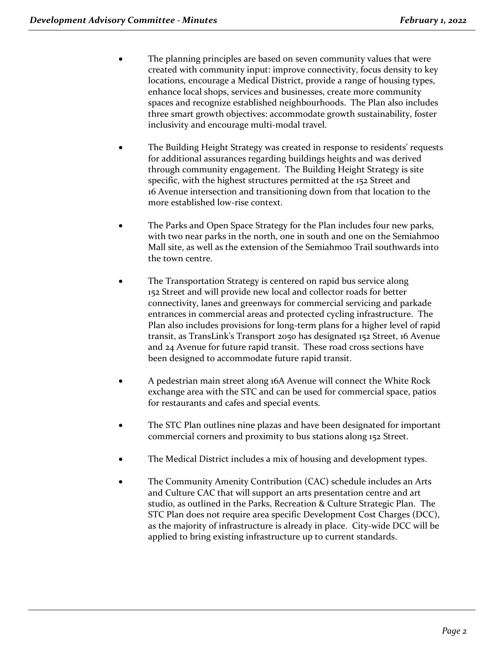- The planning principles are based on seven community values that were created with community input: improve connectivity, focus density to key locations, encourage a Medical District, provide a range of housing types, enhance local shops, services and businesses, create more community spaces and recognize established neighbourhoods. The Plan also includes three smart growth objectives: accommodate growth sustainability, foster inclusivity and encourage multi-modal travel.
- The Building Height Strategy was created in response to residents' requests for additional assurances regarding buildings heights and was derived through community engagement. The Building Height Strategy is site specific, with the highest structures permitted at the 152 Street and 16 Avenue intersection and transitioning down from that location to the more established low-rise context.
- The Parks and Open Space Strategy for the Plan includes four new parks, with two near parks in the north, one in south and one on the Semiahmoo Mall site, as well as the extension of the Semiahmoo Trail southwards into the town centre.
- The Transportation Strategy is centered on rapid bus service along 152 Street and will provide new local and collector roads for better connectivity, lanes and greenways for commercial servicing and parkade entrances in commercial areas and protected cycling infrastructure. The Plan also includes provisions for long-term plans for a higher level of rapid transit, as TransLink's Transport 2050 has designated 152 Street, 16 Avenue and 24 Avenue for future rapid transit. These road cross sections have been designed to accommodate future rapid transit.
- A pedestrian main street along 16A Avenue will connect the White Rock exchange area with the STC and can be used for commercial space, patios for restaurants and cafes and special events.
- The STC Plan outlines nine plazas and have been designated for important commercial corners and proximity to bus stations along 152 Street.
- The Medical District includes a mix of housing and development types.
- The Community Amenity Contribution (CAC) schedule includes an Arts and Culture CAC that will support an arts presentation centre and art studio, as outlined in the Parks, Recreation & Culture Strategic Plan. The STC Plan does not require area specific Development Cost Charges (DCC), as the majority of infrastructure is already in place. City-wide DCC will be applied to bring existing infrastructure up to current standards.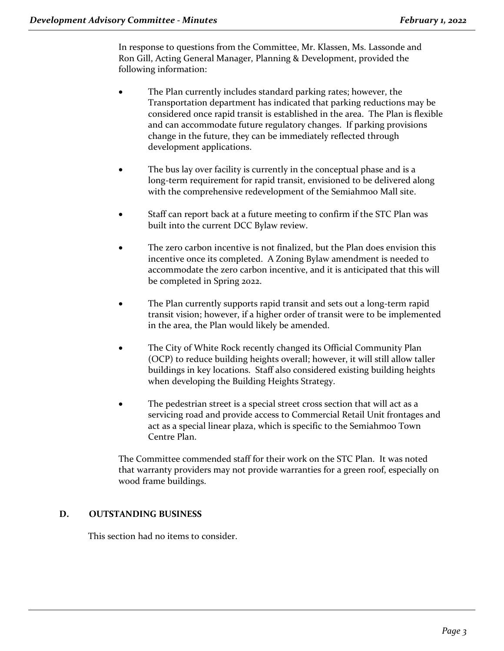In response to questions from the Committee, Mr. Klassen, Ms. Lassonde and Ron Gill, Acting General Manager, Planning & Development, provided the following information:

- The Plan currently includes standard parking rates; however, the Transportation department has indicated that parking reductions may be considered once rapid transit is established in the area. The Plan is flexible and can accommodate future regulatory changes. If parking provisions change in the future, they can be immediately reflected through development applications.
- The bus lay over facility is currently in the conceptual phase and is a long-term requirement for rapid transit, envisioned to be delivered along with the comprehensive redevelopment of the Semiahmoo Mall site.
- Staff can report back at a future meeting to confirm if the STC Plan was built into the current DCC Bylaw review.
- The zero carbon incentive is not finalized, but the Plan does envision this incentive once its completed. A Zoning Bylaw amendment is needed to accommodate the zero carbon incentive, and it is anticipated that this will be completed in Spring 2022.
- The Plan currently supports rapid transit and sets out a long-term rapid transit vision; however, if a higher order of transit were to be implemented in the area, the Plan would likely be amended.
- The City of White Rock recently changed its Official Community Plan (OCP) to reduce building heights overall; however, it will still allow taller buildings in key locations. Staff also considered existing building heights when developing the Building Heights Strategy.
- The pedestrian street is a special street cross section that will act as a servicing road and provide access to Commercial Retail Unit frontages and act as a special linear plaza, which is specific to the Semiahmoo Town Centre Plan.

The Committee commended staff for their work on the STC Plan. It was noted that warranty providers may not provide warranties for a green roof, especially on wood frame buildings.

# **D. OUTSTANDING BUSINESS**

This section had no items to consider.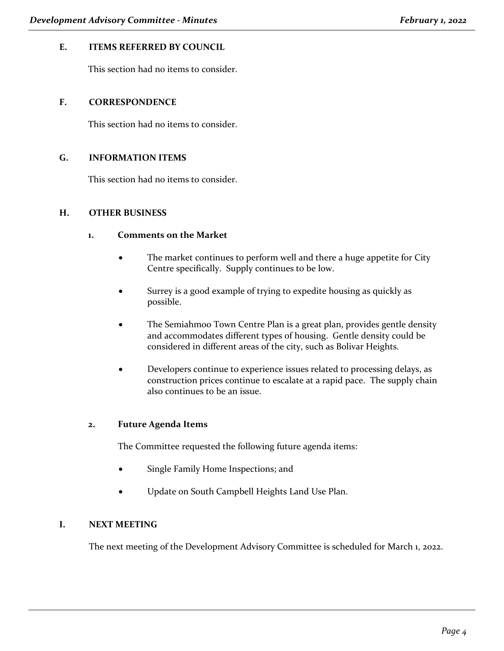# **E. ITEMS REFERRED BY COUNCIL**

This section had no items to consider.

# **F. CORRESPONDENCE**

This section had no items to consider.

# **G. INFORMATION ITEMS**

This section had no items to consider.

## **H. OTHER BUSINESS**

## **1. Comments on the Market**

- The market continues to perform well and there a huge appetite for City Centre specifically. Supply continues to be low.
- Surrey is a good example of trying to expedite housing as quickly as possible.
- The Semiahmoo Town Centre Plan is a great plan, provides gentle density and accommodates different types of housing. Gentle density could be considered in different areas of the city, such as Bolivar Heights.
- Developers continue to experience issues related to processing delays, as construction prices continue to escalate at a rapid pace. The supply chain also continues to be an issue.

# **2. Future Agenda Items**

The Committee requested the following future agenda items:

- Single Family Home Inspections; and
- Update on South Campbell Heights Land Use Plan.

# **I. NEXT MEETING**

The next meeting of the Development Advisory Committee is scheduled for March 1, 2022.